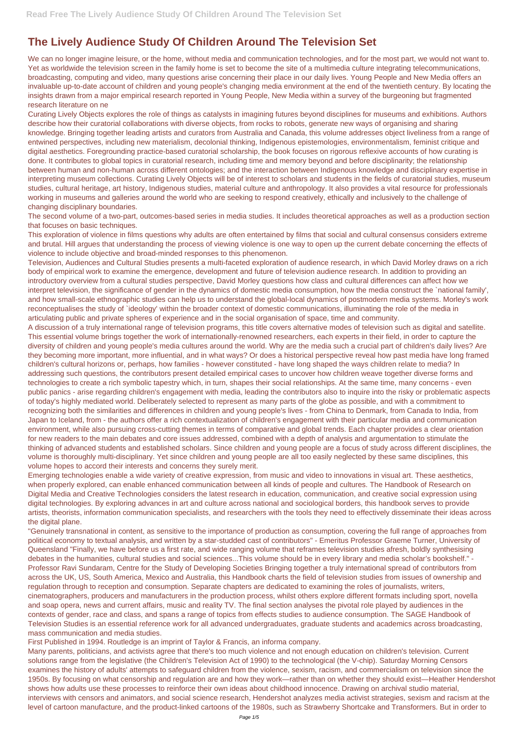## **The Lively Audience Study Of Children Around The Television Set**

We can no longer imagine leisure, or the home, without media and communication technologies, and for the most part, we would not want to. Yet as worldwide the television screen in the family home is set to become the site of a multimedia culture integrating telecommunications, broadcasting, computing and video, many questions arise concerning their place in our daily lives. Young People and New Media offers an invaluable up-to-date account of children and young people's changing media environment at the end of the twentieth century. By locating the insights drawn from a major empirical research reported in Young People, New Media within a survey of the burgeoning but fragmented research literature on ne

Curating Lively Objects explores the role of things as catalysts in imagining futures beyond disciplines for museums and exhibitions. Authors describe how their curatorial collaborations with diverse objects, from rocks to robots, generate new ways of organising and sharing knowledge. Bringing together leading artists and curators from Australia and Canada, this volume addresses object liveliness from a range of entwined perspectives, including new materialism, decolonial thinking, Indigenous epistemologies, environmentalism, feminist critique and digital aesthetics. Foregrounding practice-based curatorial scholarship, the book focuses on rigorous reflexive accounts of how curating is done. It contributes to global topics in curatorial research, including time and memory beyond and before disciplinarity; the relationship between human and non-human across different ontologies; and the interaction between Indigenous knowledge and disciplinary expertise in interpreting museum collections. Curating Lively Objects will be of interest to scholars and students in the fields of curatorial studies, museum studies, cultural heritage, art history, Indigenous studies, material culture and anthropology. It also provides a vital resource for professionals working in museums and galleries around the world who are seeking to respond creatively, ethically and inclusively to the challenge of changing disciplinary boundaries.

The second volume of a two-part, outcomes-based series in media studies. It includes theoretical approaches as well as a production section that focuses on basic techniques.

This exploration of violence in films questions why adults are often entertained by films that social and cultural consensus considers extreme and brutal. Hill argues that understanding the process of viewing violence is one way to open up the current debate concerning the effects of violence to include objective and broad-minded responses to this phenomenon.

Television, Audiences and Cultural Studies presents a multi-faceted exploration of audience research, in which David Morley draws on a rich body of empirical work to examine the emergence, development and future of television audience research. In addition to providing an introductory overview from a cultural studies perspective, David Morley questions how class and cultural differences can affect how we interpret television, the significance of gender in the dynamics of domestic media consumption, how the media construct the `national family', and how small-scale ethnographic studies can help us to understand the global-local dynamics of postmodern media systems. Morley's work reconceptualises the study of `ideology' within the broader context of domestic communications, illuminating the role of the media in articulating public and private spheres of experience and in the social organisation of space, time and community.

A discussion of a truly international range of television programs, this title covers alternative modes of television such as digital and satellite. This essential volume brings together the work of internationally-renowned researchers, each experts in their field, in order to capture the diversity of children and young people's media cultures around the world. Why are the media such a crucial part of children's daily lives? Are they becoming more important, more influential, and in what ways? Or does a historical perspective reveal how past media have long framed children's cultural horizons or, perhaps, how families - however constituted - have long shaped the ways children relate to media? In addressing such questions, the contributors present detailed empirical cases to uncover how children weave together diverse forms and technologies to create a rich symbolic tapestry which, in turn, shapes their social relationships. At the same time, many concerns - even public panics - arise regarding children's engagement with media, leading the contributors also to inquire into the risky or problematic aspects of today's highly mediated world. Deliberately selected to represent as many parts of the globe as possible, and with a commitment to recognizing both the similarities and differences in children and young people's lives - from China to Denmark, from Canada to India, from Japan to Iceland, from - the authors offer a rich contextualization of children's engagement with their particular media and communication environment, while also pursuing cross-cutting themes in terms of comparative and global trends. Each chapter provides a clear orientation for new readers to the main debates and core issues addressed, combined with a depth of analysis and argumentation to stimulate the thinking of advanced students and established scholars. Since children and young people are a focus of study across different disciplines, the volume is thoroughly multi-disciplinary. Yet since children and young people are all too easily neglected by these same disciplines, this volume hopes to accord their interests and concerns they surely merit.

Emerging technologies enable a wide variety of creative expression, from music and video to innovations in visual art. These aesthetics, when properly explored, can enable enhanced communication between all kinds of people and cultures. The Handbook of Research on Digital Media and Creative Technologies considers the latest research in education, communication, and creative social expression using digital technologies. By exploring advances in art and culture across national and sociological borders, this handbook serves to provide artists, theorists, information communication specialists, and researchers with the tools they need to effectively disseminate their ideas across the digital plane.

"Genuinely transnational in content, as sensitive to the importance of production as consumption, covering the full range of approaches from political economy to textual analysis, and written by a star-studded cast of contributors" - Emeritus Professor Graeme Turner, University of Queensland "Finally, we have before us a first rate, and wide ranging volume that reframes television studies afresh, boldly synthesising

debates in the humanities, cultural studies and social sciences...This volume should be in every library and media scholar's bookshelf." - Professor Ravi Sundaram, Centre for the Study of Developing Societies Bringing together a truly international spread of contributors from across the UK, US, South America, Mexico and Australia, this Handbook charts the field of television studies from issues of ownership and regulation through to reception and consumption. Separate chapters are dedicated to examining the roles of journalists, writers, cinematographers, producers and manufacturers in the production process, whilst others explore different formats including sport, novella and soap opera, news and current affairs, music and reality TV. The final section analyses the pivotal role played by audiences in the contexts of gender, race and class, and spans a range of topics from effects studies to audience consumption. The SAGE Handbook of Television Studies is an essential reference work for all advanced undergraduates, graduate students and academics across broadcasting, mass communication and media studies.

First Published in 1994. Routledge is an imprint of Taylor & Francis, an informa company.

Many parents, politicians, and activists agree that there's too much violence and not enough education on children's television. Current solutions range from the legislative (the Children's Television Act of 1990) to the technological (the V-chip). Saturday Morning Censors examines the history of adults' attempts to safeguard children from the violence, sexism, racism, and commercialism on television since the 1950s. By focusing on what censorship and regulation are and how they work—rather than on whether they should exist—Heather Hendershot shows how adults use these processes to reinforce their own ideas about childhood innocence. Drawing on archival studio material, interviews with censors and animators, and social science research, Hendershot analyzes media activist strategies, sexism and racism at the level of cartoon manufacture, and the product-linked cartoons of the 1980s, such as Strawberry Shortcake and Transformers. But in order to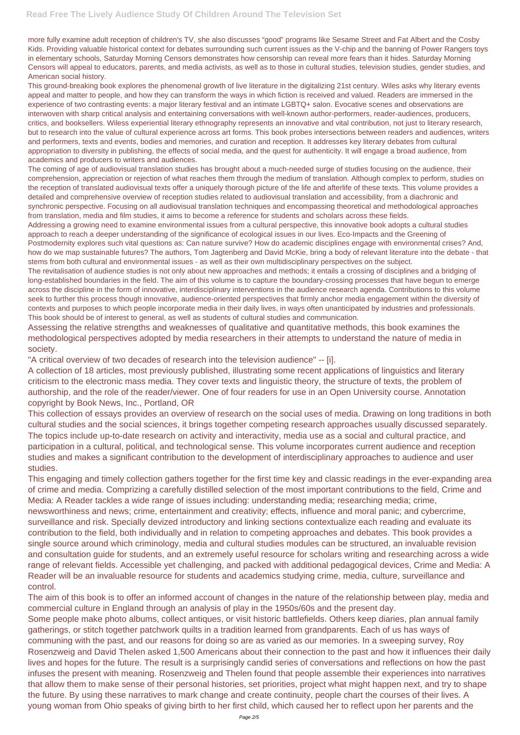more fully examine adult reception of children's TV, she also discusses "good" programs like Sesame Street and Fat Albert and the Cosby Kids. Providing valuable historical context for debates surrounding such current issues as the V-chip and the banning of Power Rangers toys in elementary schools, Saturday Morning Censors demonstrates how censorship can reveal more fears than it hides. Saturday Morning Censors will appeal to educators, parents, and media activists, as well as to those in cultural studies, television studies, gender studies, and American social history.

This ground-breaking book explores the phenomenal growth of live literature in the digitalizing 21st century. Wiles asks why literary events appeal and matter to people, and how they can transform the ways in which fiction is received and valued. Readers are immersed in the experience of two contrasting events: a major literary festival and an intimate LGBTQ+ salon. Evocative scenes and observations are interwoven with sharp critical analysis and entertaining conversations with well-known author-performers, reader-audiences, producers, critics, and booksellers. Wiless experiential literary ethnography represents an innovative and vital contribution, not just to literary research, but to research into the value of cultural experience across art forms. This book probes intersections between readers and audiences, writers and performers, texts and events, bodies and memories, and curation and reception. It addresses key literary debates from cultural appropriation to diversity in publishing, the effects of social media, and the quest for authenticity. It will engage a broad audience, from academics and producers to writers and audiences.

The coming of age of audiovisual translation studies has brought about a much-needed surge of studies focusing on the audience, their comprehension, appreciation or rejection of what reaches them through the medium of translation. Although complex to perform, studies on the reception of translated audiovisual texts offer a uniquely thorough picture of the life and afterlife of these texts. This volume provides a detailed and comprehensive overview of reception studies related to audiovisual translation and accessibility, from a diachronic and synchronic perspective. Focusing on all audiovisual translation techniques and encompassing theoretical and methodological approaches from translation, media and film studies, it aims to become a reference for students and scholars across these fields.

Addressing a growing need to examine environmental issues from a cultural perspective, this innovative book adopts a cultural studies approach to reach a deeper understanding of the significance of ecological issues in our lives. Eco-Impacts and the Greening of Postmodernity explores such vital questions as: Can nature survive? How do academic disciplines engage with environmental crises? And, how do we map sustainable futures? The authors, Tom Jagtenberg and David McKie, bring a body of relevant literature into the debate - that stems from both cultural and environmental issues - as well as their own multidisciplinary perspectives on the subject.

The revitalisation of audience studies is not only about new approaches and methods; it entails a crossing of disciplines and a bridging of long-established boundaries in the field. The aim of this volume is to capture the boundary-crossing processes that have begun to emerge across the discipline in the form of innovative, interdisciplinary interventions in the audience research agenda. Contributions to this volume seek to further this process though innovative, audience-oriented perspectives that firmly anchor media engagement within the diversity of contexts and purposes to which people incorporate media in their daily lives, in ways often unanticipated by industries and professionals. This book should be of interest to general, as well as students of cultural studies and communication.

Assessing the relative strengths and weaknesses of qualitative and quantitative methods, this book examines the methodological perspectives adopted by media researchers in their attempts to understand the nature of media in society.

"A critical overview of two decades of research into the television audience" -- [i].

A collection of 18 articles, most previously published, illustrating some recent applications of linguistics and literary criticism to the electronic mass media. They cover texts and linguistic theory, the structure of texts, the problem of authorship, and the role of the reader/viewer. One of four readers for use in an Open University course. Annotation copyright by Book News, Inc., Portland, OR

This collection of essays provides an overview of research on the social uses of media. Drawing on long traditions in both cultural studies and the social sciences, it brings together competing research approaches usually discussed separately. The topics include up-to-date research on activity and interactivity, media use as a social and cultural practice, and participation in a cultural, political, and technological sense. This volume incorporates current audience and reception studies and makes a significant contribution to the development of interdisciplinary approaches to audience and user studies.

This engaging and timely collection gathers together for the first time key and classic readings in the ever-expanding area of crime and media. Comprizing a carefully distilled selection of the most important contributions to the field, Crime and Media: A Reader tackles a wide range of issues including: understanding media; researching media; crime, newsworthiness and news; crime, entertainment and creativity; effects, influence and moral panic; and cybercrime, surveillance and risk. Specially devized introductory and linking sections contextualize each reading and evaluate its contribution to the field, both individually and in relation to competing approaches and debates. This book provides a single source around which criminology, media and cultural studies modules can be structured, an invaluable revision and consultation guide for students, and an extremely useful resource for scholars writing and researching across a wide range of relevant fields. Accessible yet challenging, and packed with additional pedagogical devices, Crime and Media: A Reader will be an invaluable resource for students and academics studying crime, media, culture, surveillance and control. The aim of this book is to offer an informed account of changes in the nature of the relationship between play, media and commercial culture in England through an analysis of play in the 1950s/60s and the present day. Some people make photo albums, collect antiques, or visit historic battlefields. Others keep diaries, plan annual family gatherings, or stitch together patchwork quilts in a tradition learned from grandparents. Each of us has ways of communing with the past, and our reasons for doing so are as varied as our memories. In a sweeping survey, Roy Rosenzweig and David Thelen asked 1,500 Americans about their connection to the past and how it influences their daily lives and hopes for the future. The result is a surprisingly candid series of conversations and reflections on how the past infuses the present with meaning. Rosenzweig and Thelen found that people assemble their experiences into narratives that allow them to make sense of their personal histories, set priorities, project what might happen next, and try to shape the future. By using these narratives to mark change and create continuity, people chart the courses of their lives. A young woman from Ohio speaks of giving birth to her first child, which caused her to reflect upon her parents and the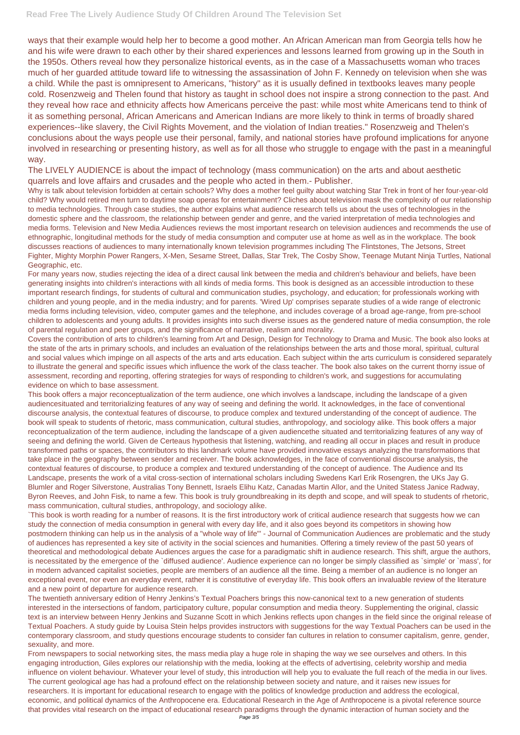ways that their example would help her to become a good mother. An African American man from Georgia tells how he and his wife were drawn to each other by their shared experiences and lessons learned from growing up in the South in the 1950s. Others reveal how they personalize historical events, as in the case of a Massachusetts woman who traces much of her guarded attitude toward life to witnessing the assassination of John F. Kennedy on television when she was a child. While the past is omnipresent to Americans, "history" as it is usually defined in textbooks leaves many people cold. Rosenzweig and Thelen found that history as taught in school does not inspire a strong connection to the past. And they reveal how race and ethnicity affects how Americans perceive the past: while most white Americans tend to think of it as something personal, African Americans and American Indians are more likely to think in terms of broadly shared experiences--like slavery, the Civil Rights Movement, and the violation of Indian treaties." Rosenzweig and Thelen's conclusions about the ways people use their personal, family, and national stories have profound implications for anyone involved in researching or presenting history, as well as for all those who struggle to engage with the past in a meaningful way.

The LIVELY AUDIENCE is about the impact of technology (mass communication) on the arts and about aesthetic quarrels and love affairs and crusades and the people who acted in them.- Publisher.

Why is talk about television forbidden at certain schools? Why does a mother feel guilty about watching Star Trek in front of her four-year-old child? Why would retired men turn to daytime soap operas for entertainment? Cliches about television mask the complexity of our relationship to media technologies. Through case studies, the author explains what audience research tells us about the uses of technologies in the domestic sphere and the classroom, the relationship between gender and genre, and the varied interpretation of media technologies and media forms. Television and New Media Audiences reviews the most important research on television audiences and recommends the use of ethnographic, longitudinal methods for the study of media consumption and computer use at home as well as in the workplace. The book discusses reactions of audiences to many internationally known television programmes including The Flintstones, The Jetsons, Street Fighter, Mighty Morphin Power Rangers, X-Men, Sesame Street, Dallas, Star Trek, The Cosby Show, Teenage Mutant Ninja Turtles, National Geographic, etc.

For many years now, studies rejecting the idea of a direct causal link between the media and children's behaviour and beliefs, have been generating insights into children's interactions with all kinds of media forms. This book is designed as an accessible introduction to these important research findings, for students of cultural and communication studies, psychology, and education; for professionals working with children and young people, and in the media industry; and for parents. 'Wired Up' comprises separate studies of a wide range of electronic media forms including television, video, computer games and the telephone, and includes coverage of a broad age-range, from pre-school children to adolescents and young adults. It provides insights into such diverse issues as the gendered nature of media consumption, the role of parental regulation and peer groups, and the significance of narrative, realism and morality.

Covers the contribution of arts to children's learning from Art and Design, Design for Technology to Drama and Music. The book also looks at the state of the arts in primary schools, and includes an evaluation of the relationships between the arts and those moral, spiritual, cultural and social values which impinge on all aspects of the arts and arts education. Each subject within the arts curriculum is considered separately to illustrate the general and specific issues which influence the work of the class teacher. The book also takes on the current thorny issue of assessment, recording and reporting, offering strategies for ways of responding to children's work, and suggestions for accumulating evidence on which to base assessment.

This book offers a major reconceptualization of the term audience, one which involves a landscape, including the landscape of a given audiencesituated and territorializing features of any way of seeing and defining the world. It acknowledges, in the face of conventional discourse analysis, the contextual features of discourse, to produce complex and textured understanding of the concept of audience. The book will speak to students of rhetoric, mass communication, cultural studies, anthropology, and sociology alike. This book offers a major reconceptualization of the term audience, including the landscape of a given audiencethe situated and territorializing features of any way of seeing and defining the world. Given de Certeaus hypothesis that listening, watching, and reading all occur in places and result in produce transformed paths or spaces, the contributors to this landmark volume have provided innovative essays analyzing the transformations that take place in the geography between sender and receiver. The book acknowledges, in the face of conventional discourse analysis, the contextual features of discourse, to produce a complex and textured understanding of the concept of audience. The Audience and Its Landscape, presents the work of a vital cross-section of international scholars including Swedens Karl Erik Rosengren, the UKs Jay G. Blumler and Roger Silverstone, Australias Tony Bennett, Israels Elihu Katz, Canadas Martin Allor, and the United Statess Janice Radway, Byron Reeves, and John Fisk, to name a few. This book is truly groundbreaking in its depth and scope, and will speak to students of rhetoric, mass communication, cultural studies, anthropology, and sociology alike.

`This book is worth reading for a number of reasons. It is the first introductory work of critical audience research that suggests how we can study the connection of media consumption in general with every day life, and it also goes beyond its competitors in showing how postmodern thinking can help us in the analysis of a "whole way of life"' - Journal of Communication Audiences are problematic and the study of audiences has represented a key site of activity in the social sciences and humanities. Offering a timely review of the past 50 years of theoretical and methodological debate Audiences argues the case for a paradigmatic shift in audience research. This shift, argue the authors, is necessitated by the emergence of the `diffused audience'. Audience experience can no longer be simply classified as `simple' or `mass', for in modern advanced capitalist societies, people are members of an audience all the time. Being a member of an audience is no longer an exceptional event, nor even an everyday event, rather it is constitutive of everyday life. This book offers an invaluable review of the literature and a new point of departure for audience research. The twentieth anniversary edition of Henry Jenkins's Textual Poachers brings this now-canonical text to a new generation of students interested in the intersections of fandom, participatory culture, popular consumption and media theory. Supplementing the original, classic text is an interview between Henry Jenkins and Suzanne Scott in which Jenkins reflects upon changes in the field since the original release of Textual Poachers. A study guide by Louisa Stein helps provides instructors with suggestions for the way Textual Poachers can be used in the contemporary classroom, and study questions encourage students to consider fan cultures in relation to consumer capitalism, genre, gender, sexuality, and more. From newspapers to social networking sites, the mass media play a huge role in shaping the way we see ourselves and others. In this engaging introduction, Giles explores our relationship with the media, looking at the effects of advertising, celebrity worship and media influence on violent behaviour. Whatever your level of study, this introduction will help you to evaluate the full reach of the media in our lives. The current geological age has had a profound effect on the relationship between society and nature, and it raises new issues for researchers. It is important for educational research to engage with the politics of knowledge production and address the ecological, economic, and political dynamics of the Anthropocene era. Educational Research in the Age of Anthropocene is a pivotal reference source that provides vital research on the impact of educational research paradigms through the dynamic interaction of human society and the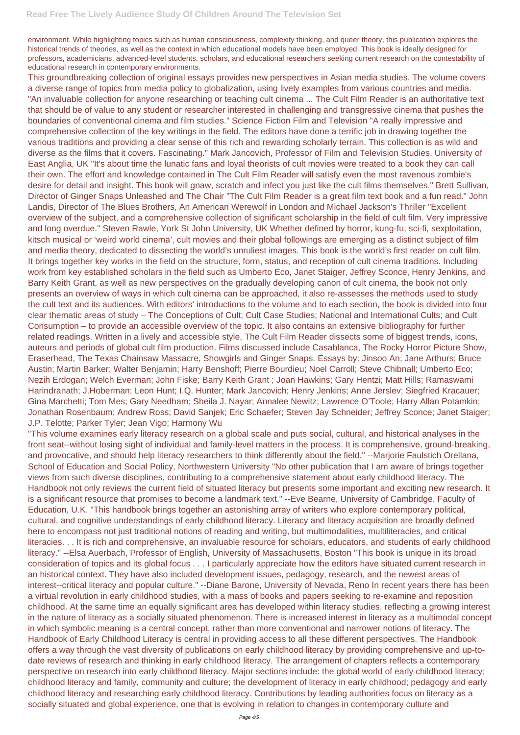environment. While highlighting topics such as human consciousness, complexity thinking, and queer theory, this publication explores the historical trends of theories, as well as the context in which educational models have been employed. This book is ideally designed for professors, academicians, advanced-level students, scholars, and educational researchers seeking current research on the contestability of educational research in contemporary environments.

This groundbreaking collection of original essays provides new perspectives in Asian media studies. The volume covers a diverse range of topics from media policy to globalization, using lively examples from various countries and media. "An invaluable collection for anyone researching or teaching cult cinema ... The Cult Film Reader is an authoritative text that should be of value to any student or researcher interested in challenging and transgressive cinema that pushes the boundaries of conventional cinema and film studies." Science Fiction Film and Television "A really impressive and comprehensive collection of the key writings in the field. The editors have done a terrific job in drawing together the various traditions and providing a clear sense of this rich and rewarding scholarly terrain. This collection is as wild and diverse as the films that it covers. Fascinating." Mark Jancovich, Professor of Film and Television Studies, University of East Anglia, UK "It's about time the lunatic fans and loyal theorists of cult movies were treated to a book they can call their own. The effort and knowledge contained in The Cult Film Reader will satisfy even the most ravenous zombie's desire for detail and insight. This book will gnaw, scratch and infect you just like the cult films themselves." Brett Sullivan, Director of Ginger Snaps Unleashed and The Chair "The Cult Film Reader is a great film text book and a fun read." John Landis, Director of The Blues Brothers, An American Werewolf in London and Michael Jackson's Thriller "Excellent overview of the subject, and a comprehensive collection of significant scholarship in the field of cult film. Very impressive and long overdue." Steven Rawle, York St John University, UK Whether defined by horror, kung-fu, sci-fi, sexploitation, kitsch musical or 'weird world cinema', cult movies and their global followings are emerging as a distinct subject of film and media theory, dedicated to dissecting the world's unruliest images. This book is the world's first reader on cult film. It brings together key works in the field on the structure, form, status, and reception of cult cinema traditions. Including work from key established scholars in the field such as Umberto Eco, Janet Staiger, Jeffrey Sconce, Henry Jenkins, and Barry Keith Grant, as well as new perspectives on the gradually developing canon of cult cinema, the book not only presents an overview of ways in which cult cinema can be approached, it also re-assesses the methods used to study the cult text and its audiences. With editors' introductions to the volume and to each section, the book is divided into four clear thematic areas of study – The Conceptions of Cult; Cult Case Studies; National and International Cults; and Cult Consumption – to provide an accessible overview of the topic. It also contains an extensive bibliography for further related readings. Written in a lively and accessible style, The Cult Film Reader dissects some of biggest trends, icons, auteurs and periods of global cult film production. Films discussed include Casablanca, The Rocky Horror Picture Show, Eraserhead, The Texas Chainsaw Massacre, Showgirls and Ginger Snaps. Essays by: Jinsoo An; Jane Arthurs; Bruce Austin; Martin Barker; Walter Benjamin; Harry Benshoff; Pierre Bourdieu; Noel Carroll; Steve Chibnall; Umberto Eco; Nezih Erdogan; Welch Everman; John Fiske; Barry Keith Grant ; Joan Hawkins; Gary Hentzi; Matt Hills; Ramaswami Harindranath; J.Hoberman; Leon Hunt; I.Q. Hunter; Mark Jancovich; Henry Jenkins; Anne Jerslev; Siegfried Kracauer; Gina Marchetti; Tom Mes; Gary Needham; Sheila J. Nayar; Annalee Newitz; Lawrence O'Toole; Harry Allan Potamkin; Jonathan Rosenbaum; Andrew Ross; David Sanjek; Eric Schaefer; Steven Jay Schneider; Jeffrey Sconce; Janet Staiger; J.P. Telotte; Parker Tyler; Jean Vigo; Harmony Wu

"This volume examines early literacy research on a global scale and puts social, cultural, and historical analyses in the front seat--without losing sight of individual and family-level matters in the process. It is comprehensive, ground-breaking, and provocative, and should help literacy researchers to think differently about the field." --Marjorie Faulstich Orellana, School of Education and Social Policy, Northwestern University "No other publication that I am aware of brings together views from such diverse disciplines, contributing to a comprehensive statement about early childhood literacy. The Handbook not only reviews the current field of situated literacy but presents some important and exciting new research. It is a significant resource that promises to become a landmark text." --Eve Bearne, University of Cambridge, Faculty of Education, U.K. "This handbook brings together an astonishing array of writers who explore contemporary political, cultural, and cognitive understandings of early childhood literacy. Literacy and literacy acquisition are broadly defined here to encompass not just traditional notions of reading and writing, but multimodalities, multiliteracies, and critical literacies. . . It is rich and comprehensive, an invaluable resource for scholars, educators, and students of early childhood literacy." --Elsa Auerbach, Professor of English, University of Massachusetts, Boston "This book is unique in its broad consideration of topics and its global focus . . . I particularly appreciate how the editors have situated current research in an historical context. They have also included development issues, pedagogy, research, and the newest areas of interest--critical literacy and popular culture." --Diane Barone, University of Nevada, Reno In recent years there has been a virtual revolution in early childhood studies, with a mass of books and papers seeking to re-examine and reposition childhood. At the same time an equally significant area has developed within literacy studies, reflecting a growing interest in the nature of literacy as a socially situated phenomenon. There is increased interest in literacy as a multimodal concept in which symbolic meaning is a central concept, rather than more conventional and narrower notions of literacy. The Handbook of Early Childhood Literacy is central in providing access to all these different perspectives. The Handbook offers a way through the vast diversity of publications on early childhood literacy by providing comprehensive and up-todate reviews of research and thinking in early childhood literacy. The arrangement of chapters reflects a contemporary perspective on research into early childhood literacy. Major sections include: the global world of early childhood literacy; childhood literacy and family, community and culture; the development of literacy in early childhood; pedagogy and early childhood literacy and researching early childhood literacy. Contributions by leading authorities focus on literacy as a socially situated and global experience, one that is evolving in relation to changes in contemporary culture and